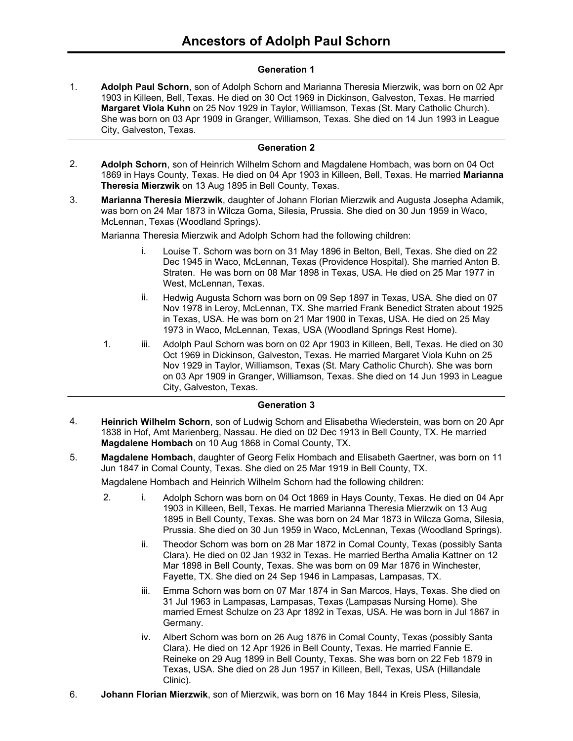# **Generation 1**

**Adolph Paul Schorn**, son of Adolph Schorn and Marianna Theresia Mierzwik, was born on 02 Apr 1903 in Killeen, Bell, Texas. He died on 30 Oct 1969 in Dickinson, Galveston, Texas. He married **Margaret Viola Kuhn** on 25 Nov 1929 in Taylor, Williamson, Texas (St. Mary Catholic Church). She was born on 03 Apr 1909 in Granger, Williamson, Texas. She died on 14 Jun 1993 in League City, Galveston, Texas. 1.

## **Generation 2**

- **Adolph Schorn**, son of Heinrich Wilhelm Schorn and Magdalene Hombach, was born on 04 Oct 1869 in Hays County, Texas. He died on 04 Apr 1903 in Killeen, Bell, Texas. He married **Marianna Theresia Mierzwik** on 13 Aug 1895 in Bell County, Texas. 2.
- **Marianna Theresia Mierzwik**, daughter of Johann Florian Mierzwik and Augusta Josepha Adamik, was born on 24 Mar 1873 in Wilcza Gorna, Silesia, Prussia. She died on 30 Jun 1959 in Waco, McLennan, Texas (Woodland Springs). 3.

Marianna Theresia Mierzwik and Adolph Schorn had the following children:

- i. Louise T. Schorn was born on 31 May 1896 in Belton, Bell, Texas. She died on 22 Dec 1945 in Waco, McLennan, Texas (Providence Hospital). She married Anton B. Straten. He was born on 08 Mar 1898 in Texas, USA. He died on 25 Mar 1977 in West, McLennan, Texas.
- ii. Hedwig Augusta Schorn was born on 09 Sep 1897 in Texas, USA. She died on 07 Nov 1978 in Leroy, McLennan, TX. She married Frank Benedict Straten about 1925 in Texas, USA. He was born on 21 Mar 1900 in Texas, USA. He died on 25 May 1973 in Waco, McLennan, Texas, USA (Woodland Springs Rest Home).
- 1. iii. Adolph Paul Schorn was born on 02 Apr 1903 in Killeen, Bell, Texas. He died on 30 Oct 1969 in Dickinson, Galveston, Texas. He married Margaret Viola Kuhn on 25 Nov 1929 in Taylor, Williamson, Texas (St. Mary Catholic Church). She was born on 03 Apr 1909 in Granger, Williamson, Texas. She died on 14 Jun 1993 in League City, Galveston, Texas.

# **Generation 3**

- **Heinrich Wilhelm Schorn**, son of Ludwig Schorn and Elisabetha Wiederstein, was born on 20 Apr 1838 in Hof, Amt Marienberg, Nassau. He died on 02 Dec 1913 in Bell County, TX. He married **Magdalene Hombach** on 10 Aug 1868 in Comal County, TX. 4.
- **Magdalene Hombach**, daughter of Georg Felix Hombach and Elisabeth Gaertner, was born on 11 Jun 1847 in Comal County, Texas. She died on 25 Mar 1919 in Bell County, TX. 5.

Magdalene Hombach and Heinrich Wilhelm Schorn had the following children:

- 2. i. Adolph Schorn was born on 04 Oct 1869 in Hays County, Texas. He died on 04 Apr 1903 in Killeen, Bell, Texas. He married Marianna Theresia Mierzwik on 13 Aug 1895 in Bell County, Texas. She was born on 24 Mar 1873 in Wilcza Gorna, Silesia, Prussia. She died on 30 Jun 1959 in Waco, McLennan, Texas (Woodland Springs).
	- ii. Theodor Schorn was born on 28 Mar 1872 in Comal County, Texas (possibly Santa Clara). He died on 02 Jan 1932 in Texas. He married Bertha Amalia Kattner on 12 Mar 1898 in Bell County, Texas. She was born on 09 Mar 1876 in Winchester, Fayette, TX. She died on 24 Sep 1946 in Lampasas, Lampasas, TX.
	- iii. Emma Schorn was born on 07 Mar 1874 in San Marcos, Hays, Texas. She died on 31 Jul 1963 in Lampasas, Lampasas, Texas (Lampasas Nursing Home). She married Ernest Schulze on 23 Apr 1892 in Texas, USA. He was born in Jul 1867 in Germany.
	- iv. Albert Schorn was born on 26 Aug 1876 in Comal County, Texas (possibly Santa Clara). He died on 12 Apr 1926 in Bell County, Texas. He married Fannie E. Reineke on 29 Aug 1899 in Bell County, Texas. She was born on 22 Feb 1879 in Texas, USA. She died on 28 Jun 1957 in Killeen, Bell, Texas, USA (Hillandale Clinic).
- 6. **Johann Florian Mierzwik**, son of Mierzwik, was born on 16 May 1844 in Kreis Pless, Silesia,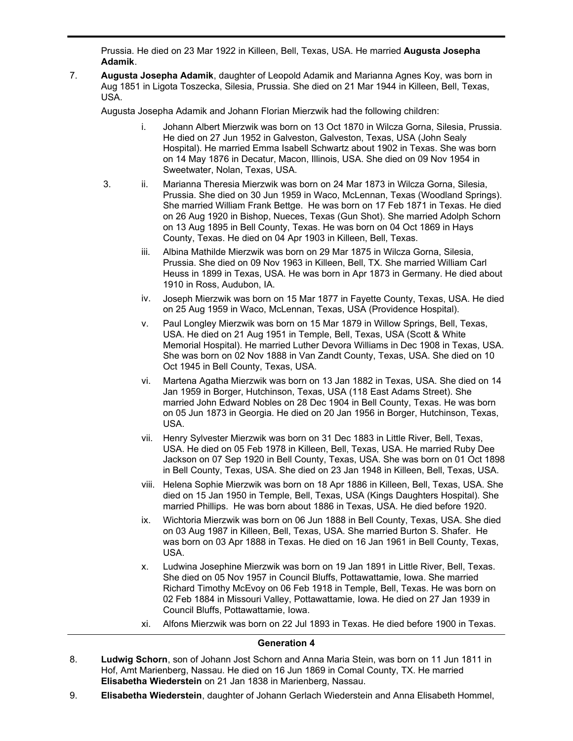**Johann Florian Mierzwik**, son of Mierzwik, was born on 16 May 1844 in Kreis Pless, Silesia, Prussia. He died on 23 Mar 1922 in Killeen, Bell, Texas, USA. He married **Augusta Josepha Adamik**.

**Augusta Josepha Adamik**, daughter of Leopold Adamik and Marianna Agnes Koy, was born in Aug 1851 in Ligota Toszecka, Silesia, Prussia. She died on 21 Mar 1944 in Killeen, Bell, Texas, USA. 7.

Augusta Josepha Adamik and Johann Florian Mierzwik had the following children:

6.

- i. Johann Albert Mierzwik was born on 13 Oct 1870 in Wilcza Gorna, Silesia, Prussia. He died on 27 Jun 1952 in Galveston, Galveston, Texas, USA (John Sealy Hospital). He married Emma Isabell Schwartz about 1902 in Texas. She was born on 14 May 1876 in Decatur, Macon, Illinois, USA. She died on 09 Nov 1954 in Sweetwater, Nolan, Texas, USA.
- 3. ii. Marianna Theresia Mierzwik was born on 24 Mar 1873 in Wilcza Gorna, Silesia, Prussia. She died on 30 Jun 1959 in Waco, McLennan, Texas (Woodland Springs). She married William Frank Bettge. He was born on 17 Feb 1871 in Texas. He died on 26 Aug 1920 in Bishop, Nueces, Texas (Gun Shot). She married Adolph Schorn on 13 Aug 1895 in Bell County, Texas. He was born on 04 Oct 1869 in Hays County, Texas. He died on 04 Apr 1903 in Killeen, Bell, Texas.
	- iii. Albina Mathilde Mierzwik was born on 29 Mar 1875 in Wilcza Gorna, Silesia, Prussia. She died on 09 Nov 1963 in Killeen, Bell, TX. She married William Carl Heuss in 1899 in Texas, USA. He was born in Apr 1873 in Germany. He died about 1910 in Ross, Audubon, IA.
	- iv. Joseph Mierzwik was born on 15 Mar 1877 in Fayette County, Texas, USA. He died on 25 Aug 1959 in Waco, McLennan, Texas, USA (Providence Hospital).
	- v. Paul Longley Mierzwik was born on 15 Mar 1879 in Willow Springs, Bell, Texas, USA. He died on 21 Aug 1951 in Temple, Bell, Texas, USA (Scott & White Memorial Hospital). He married Luther Devora Williams in Dec 1908 in Texas, USA. She was born on 02 Nov 1888 in Van Zandt County, Texas, USA. She died on 10 Oct 1945 in Bell County, Texas, USA.
	- vi. Martena Agatha Mierzwik was born on 13 Jan 1882 in Texas, USA. She died on 14 Jan 1959 in Borger, Hutchinson, Texas, USA (118 East Adams Street). She married John Edward Nobles on 28 Dec 1904 in Bell County, Texas. He was born on 05 Jun 1873 in Georgia. He died on 20 Jan 1956 in Borger, Hutchinson, Texas, USA.
	- vii. Henry Sylvester Mierzwik was born on 31 Dec 1883 in Little River, Bell, Texas, USA. He died on 05 Feb 1978 in Killeen, Bell, Texas, USA. He married Ruby Dee Jackson on 07 Sep 1920 in Bell County, Texas, USA. She was born on 01 Oct 1898 in Bell County, Texas, USA. She died on 23 Jan 1948 in Killeen, Bell, Texas, USA.
	- viii. Helena Sophie Mierzwik was born on 18 Apr 1886 in Killeen, Bell, Texas, USA. She died on 15 Jan 1950 in Temple, Bell, Texas, USA (Kings Daughters Hospital). She married Phillips. He was born about 1886 in Texas, USA. He died before 1920.
	- ix. Wichtoria Mierzwik was born on 06 Jun 1888 in Bell County, Texas, USA. She died on 03 Aug 1987 in Killeen, Bell, Texas, USA. She married Burton S. Shafer. He was born on 03 Apr 1888 in Texas. He died on 16 Jan 1961 in Bell County, Texas, USA.
	- x. Ludwina Josephine Mierzwik was born on 19 Jan 1891 in Little River, Bell, Texas. She died on 05 Nov 1957 in Council Bluffs, Pottawattamie, Iowa. She married Richard Timothy McEvoy on 06 Feb 1918 in Temple, Bell, Texas. He was born on 02 Feb 1884 in Missouri Valley, Pottawattamie, Iowa. He died on 27 Jan 1939 in Council Bluffs, Pottawattamie, Iowa.
	- xi. Alfons Mierzwik was born on 22 Jul 1893 in Texas. He died before 1900 in Texas.

## **Generation 4**

- **Ludwig Schorn**, son of Johann Jost Schorn and Anna Maria Stein, was born on 11 Jun 1811 in Hof, Amt Marienberg, Nassau. He died on 16 Jun 1869 in Comal County, TX. He married **Elisabetha Wiederstein** on 21 Jan 1838 in Marienberg, Nassau. 8.
- 9. **Elisabetha Wiederstein**, daughter of Johann Gerlach Wiederstein and Anna Elisabeth Hommel,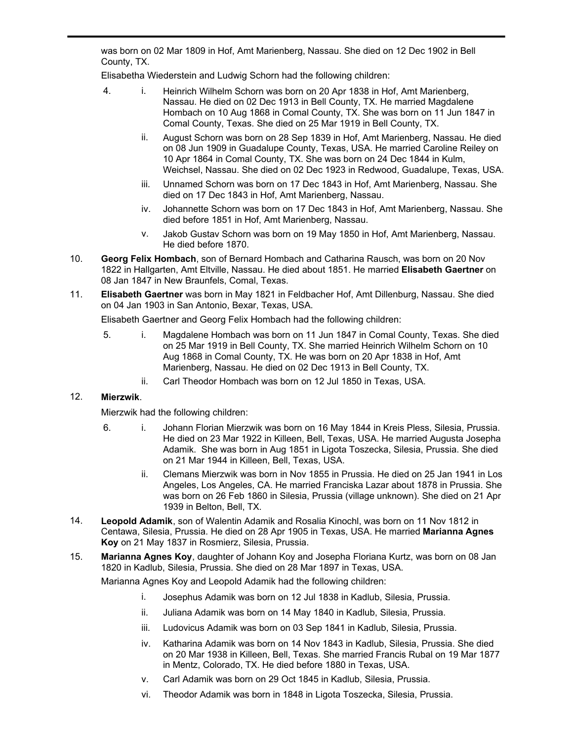**Elisabetha Wiederstein**, daughter of Johann Gerlach Wiederstein and Anna Elisabeth Hommel, was born on 02 Mar 1809 in Hof, Amt Marienberg, Nassau. She died on 12 Dec 1902 in Bell County, TX.

Elisabetha Wiederstein and Ludwig Schorn had the following children:

- 4. i. Heinrich Wilhelm Schorn was born on 20 Apr 1838 in Hof, Amt Marienberg, Nassau. He died on 02 Dec 1913 in Bell County, TX. He married Magdalene Hombach on 10 Aug 1868 in Comal County, TX. She was born on 11 Jun 1847 in Comal County, Texas. She died on 25 Mar 1919 in Bell County, TX.
	- ii. August Schorn was born on 28 Sep 1839 in Hof, Amt Marienberg, Nassau. He died on 08 Jun 1909 in Guadalupe County, Texas, USA. He married Caroline Reiley on 10 Apr 1864 in Comal County, TX. She was born on 24 Dec 1844 in Kulm, Weichsel, Nassau. She died on 02 Dec 1923 in Redwood, Guadalupe, Texas, USA.
	- iii. Unnamed Schorn was born on 17 Dec 1843 in Hof, Amt Marienberg, Nassau. She died on 17 Dec 1843 in Hof, Amt Marienberg, Nassau.
	- iv. Johannette Schorn was born on 17 Dec 1843 in Hof, Amt Marienberg, Nassau. She died before 1851 in Hof, Amt Marienberg, Nassau.
	- v. Jakob Gustav Schorn was born on 19 May 1850 in Hof, Amt Marienberg, Nassau. He died before 1870.
- **Georg Felix Hombach**, son of Bernard Hombach and Catharina Rausch, was born on 20 Nov 1822 in Hallgarten, Amt Eltville, Nassau. He died about 1851. He married **Elisabeth Gaertner** on 08 Jan 1847 in New Braunfels, Comal, Texas. 10.
- **Elisabeth Gaertner** was born in May 1821 in Feldbacher Hof, Amt Dillenburg, Nassau. She died on 04 Jan 1903 in San Antonio, Bexar, Texas, USA. 11.

Elisabeth Gaertner and Georg Felix Hombach had the following children:

- 5. i. Magdalene Hombach was born on 11 Jun 1847 in Comal County, Texas. She died on 25 Mar 1919 in Bell County, TX. She married Heinrich Wilhelm Schorn on 10 Aug 1868 in Comal County, TX. He was born on 20 Apr 1838 in Hof, Amt Marienberg, Nassau. He died on 02 Dec 1913 in Bell County, TX.
	- ii. Carl Theodor Hombach was born on 12 Jul 1850 in Texas, USA.

# 12. **Mierzwik**.

9.

Mierzwik had the following children:

- 6. i. Johann Florian Mierzwik was born on 16 May 1844 in Kreis Pless, Silesia, Prussia. He died on 23 Mar 1922 in Killeen, Bell, Texas, USA. He married Augusta Josepha Adamik. She was born in Aug 1851 in Ligota Toszecka, Silesia, Prussia. She died on 21 Mar 1944 in Killeen, Bell, Texas, USA.
	- ii. Clemans Mierzwik was born in Nov 1855 in Prussia. He died on 25 Jan 1941 in Los Angeles, Los Angeles, CA. He married Franciska Lazar about 1878 in Prussia. She was born on 26 Feb 1860 in Silesia, Prussia (village unknown). She died on 21 Apr 1939 in Belton, Bell, TX.
- **Leopold Adamik**, son of Walentin Adamik and Rosalia Kinochl, was born on 11 Nov 1812 in Centawa, Silesia, Prussia. He died on 28 Apr 1905 in Texas, USA. He married **Marianna Agnes Koy** on 21 May 1837 in Rosmierz, Silesia, Prussia. 14.
- **Marianna Agnes Koy**, daughter of Johann Koy and Josepha Floriana Kurtz, was born on 08 Jan 1820 in Kadlub, Silesia, Prussia. She died on 28 Mar 1897 in Texas, USA. 15.

Marianna Agnes Koy and Leopold Adamik had the following children:

- i. Josephus Adamik was born on 12 Jul 1838 in Kadlub, Silesia, Prussia.
- ii. Juliana Adamik was born on 14 May 1840 in Kadlub, Silesia, Prussia.
- iii. Ludovicus Adamik was born on 03 Sep 1841 in Kadlub, Silesia, Prussia.
- iv. Katharina Adamik was born on 14 Nov 1843 in Kadlub, Silesia, Prussia. She died on 20 Mar 1938 in Killeen, Bell, Texas. She married Francis Rubal on 19 Mar 1877 in Mentz, Colorado, TX. He died before 1880 in Texas, USA.
- v. Carl Adamik was born on 29 Oct 1845 in Kadlub, Silesia, Prussia.
- vi. Theodor Adamik was born in 1848 in Ligota Toszecka, Silesia, Prussia.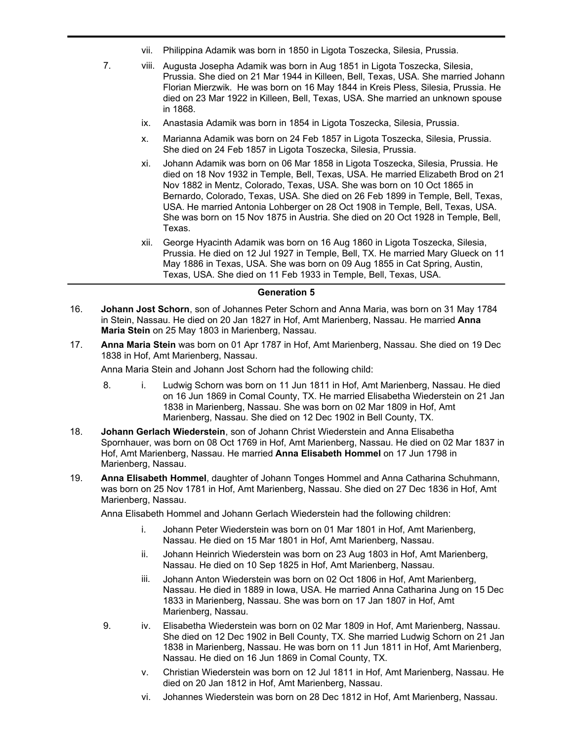- vii. Philippina Adamik was born in 1850 in Ligota Toszecka, Silesia, Prussia.
- 7. viii. Augusta Josepha Adamik was born in Aug 1851 in Ligota Toszecka, Silesia, Prussia. She died on 21 Mar 1944 in Killeen, Bell, Texas, USA. She married Johann Florian Mierzwik. He was born on 16 May 1844 in Kreis Pless, Silesia, Prussia. He died on 23 Mar 1922 in Killeen, Bell, Texas, USA. She married an unknown spouse in 1868.
	- ix. Anastasia Adamik was born in 1854 in Ligota Toszecka, Silesia, Prussia.
	- x. Marianna Adamik was born on 24 Feb 1857 in Ligota Toszecka, Silesia, Prussia. She died on 24 Feb 1857 in Ligota Toszecka, Silesia, Prussia.
	- xi. Johann Adamik was born on 06 Mar 1858 in Ligota Toszecka, Silesia, Prussia. He died on 18 Nov 1932 in Temple, Bell, Texas, USA. He married Elizabeth Brod on 21 Nov 1882 in Mentz, Colorado, Texas, USA. She was born on 10 Oct 1865 in Bernardo, Colorado, Texas, USA. She died on 26 Feb 1899 in Temple, Bell, Texas, USA. He married Antonia Lohberger on 28 Oct 1908 in Temple, Bell, Texas, USA. She was born on 15 Nov 1875 in Austria. She died on 20 Oct 1928 in Temple, Bell, Texas.
	- xii. George Hyacinth Adamik was born on 16 Aug 1860 in Ligota Toszecka, Silesia, Prussia. He died on 12 Jul 1927 in Temple, Bell, TX. He married Mary Glueck on 11 May 1886 in Texas, USA. She was born on 09 Aug 1855 in Cat Spring, Austin, Texas, USA. She died on 11 Feb 1933 in Temple, Bell, Texas, USA.

## **Generation 5**

- **Johann Jost Schorn**, son of Johannes Peter Schorn and Anna Maria, was born on 31 May 1784 in Stein, Nassau. He died on 20 Jan 1827 in Hof, Amt Marienberg, Nassau. He married **Anna Maria Stein** on 25 May 1803 in Marienberg, Nassau. 16.
- **Anna Maria Stein** was born on 01 Apr 1787 in Hof, Amt Marienberg, Nassau. She died on 19 Dec 1838 in Hof, Amt Marienberg, Nassau. 17.

Anna Maria Stein and Johann Jost Schorn had the following child:

- 8. i. Ludwig Schorn was born on 11 Jun 1811 in Hof, Amt Marienberg, Nassau. He died on 16 Jun 1869 in Comal County, TX. He married Elisabetha Wiederstein on 21 Jan 1838 in Marienberg, Nassau. She was born on 02 Mar 1809 in Hof, Amt Marienberg, Nassau. She died on 12 Dec 1902 in Bell County, TX.
- **Johann Gerlach Wiederstein**, son of Johann Christ Wiederstein and Anna Elisabetha Spornhauer, was born on 08 Oct 1769 in Hof, Amt Marienberg, Nassau. He died on 02 Mar 1837 in Hof, Amt Marienberg, Nassau. He married **Anna Elisabeth Hommel** on 17 Jun 1798 in Marienberg, Nassau. 18.
- **Anna Elisabeth Hommel**, daughter of Johann Tonges Hommel and Anna Catharina Schuhmann, was born on 25 Nov 1781 in Hof, Amt Marienberg, Nassau. She died on 27 Dec 1836 in Hof, Amt Marienberg, Nassau. 19.

Anna Elisabeth Hommel and Johann Gerlach Wiederstein had the following children:

- i. Johann Peter Wiederstein was born on 01 Mar 1801 in Hof, Amt Marienberg, Nassau. He died on 15 Mar 1801 in Hof, Amt Marienberg, Nassau.
- ii. Johann Heinrich Wiederstein was born on 23 Aug 1803 in Hof, Amt Marienberg, Nassau. He died on 10 Sep 1825 in Hof, Amt Marienberg, Nassau.
- iii. Johann Anton Wiederstein was born on 02 Oct 1806 in Hof, Amt Marienberg, Nassau. He died in 1889 in Iowa, USA. He married Anna Catharina Jung on 15 Dec 1833 in Marienberg, Nassau. She was born on 17 Jan 1807 in Hof, Amt Marienberg, Nassau.
- 9. iv. Elisabetha Wiederstein was born on 02 Mar 1809 in Hof, Amt Marienberg, Nassau. She died on 12 Dec 1902 in Bell County, TX. She married Ludwig Schorn on 21 Jan 1838 in Marienberg, Nassau. He was born on 11 Jun 1811 in Hof, Amt Marienberg, Nassau. He died on 16 Jun 1869 in Comal County, TX.
	- v. Christian Wiederstein was born on 12 Jul 1811 in Hof, Amt Marienberg, Nassau. He died on 20 Jan 1812 in Hof, Amt Marienberg, Nassau.
	- vi. Johannes Wiederstein was born on 28 Dec 1812 in Hof, Amt Marienberg, Nassau.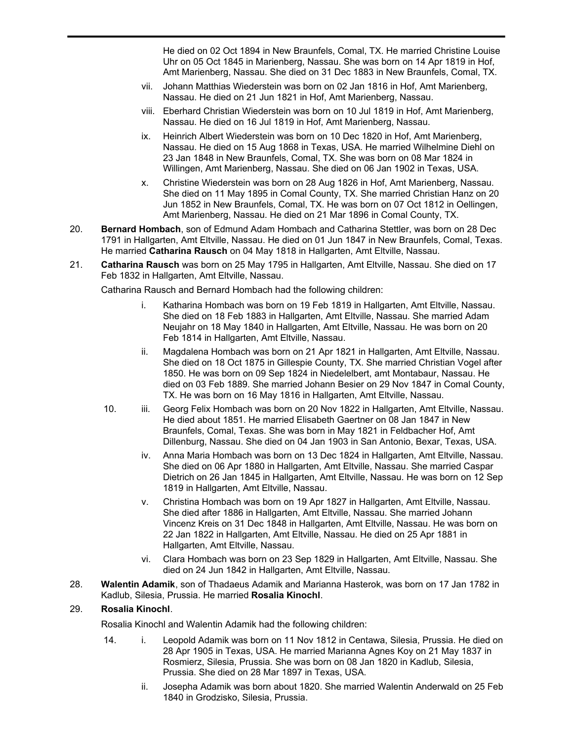He died on 02 Oct 1894 in New Braunfels, Comal, TX. He married Christine Louise Uhr on 05 Oct 1845 in Marienberg, Nassau. She was born on 14 Apr 1819 in Hof, Amt Marienberg, Nassau. She died on 31 Dec 1883 in New Braunfels, Comal, TX.

vii. Johann Matthias Wiederstein was born on 02 Jan 1816 in Hof, Amt Marienberg, Nassau. He died on 21 Jun 1821 in Hof, Amt Marienberg, Nassau.

vi. Johannes Wiederstein was born on 28 Dec 1812 in Hof, Amt Marienberg, Nassau.

- viii. Eberhard Christian Wiederstein was born on 10 Jul 1819 in Hof, Amt Marienberg, Nassau. He died on 16 Jul 1819 in Hof, Amt Marienberg, Nassau.
- ix. Heinrich Albert Wiederstein was born on 10 Dec 1820 in Hof, Amt Marienberg, Nassau. He died on 15 Aug 1868 in Texas, USA. He married Wilhelmine Diehl on 23 Jan 1848 in New Braunfels, Comal, TX. She was born on 08 Mar 1824 in Willingen, Amt Marienberg, Nassau. She died on 06 Jan 1902 in Texas, USA.
- x. Christine Wiederstein was born on 28 Aug 1826 in Hof, Amt Marienberg, Nassau. She died on 11 May 1895 in Comal County, TX. She married Christian Hanz on 20 Jun 1852 in New Braunfels, Comal, TX. He was born on 07 Oct 1812 in Oellingen, Amt Marienberg, Nassau. He died on 21 Mar 1896 in Comal County, TX.
- **Bernard Hombach**, son of Edmund Adam Hombach and Catharina Stettler, was born on 28 Dec 1791 in Hallgarten, Amt Eltville, Nassau. He died on 01 Jun 1847 in New Braunfels, Comal, Texas. He married **Catharina Rausch** on 04 May 1818 in Hallgarten, Amt Eltville, Nassau. 20.
- **Catharina Rausch** was born on 25 May 1795 in Hallgarten, Amt Eltville, Nassau. She died on 17 Feb 1832 in Hallgarten, Amt Eltville, Nassau. 21.

Catharina Rausch and Bernard Hombach had the following children:

- i. Katharina Hombach was born on 19 Feb 1819 in Hallgarten, Amt Eltville, Nassau. She died on 18 Feb 1883 in Hallgarten, Amt Eltville, Nassau. She married Adam Neujahr on 18 May 1840 in Hallgarten, Amt Eltville, Nassau. He was born on 20 Feb 1814 in Hallgarten, Amt Eltville, Nassau.
- ii. Magdalena Hombach was born on 21 Apr 1821 in Hallgarten, Amt Eltville, Nassau. She died on 18 Oct 1875 in Gillespie County, TX. She married Christian Vogel after 1850. He was born on 09 Sep 1824 in Niedelelbert, amt Montabaur, Nassau. He died on 03 Feb 1889. She married Johann Besier on 29 Nov 1847 in Comal County, TX. He was born on 16 May 1816 in Hallgarten, Amt Eltville, Nassau.
- 10. iii. Georg Felix Hombach was born on 20 Nov 1822 in Hallgarten, Amt Eltville, Nassau. He died about 1851. He married Elisabeth Gaertner on 08 Jan 1847 in New Braunfels, Comal, Texas. She was born in May 1821 in Feldbacher Hof, Amt Dillenburg, Nassau. She died on 04 Jan 1903 in San Antonio, Bexar, Texas, USA.
	- iv. Anna Maria Hombach was born on 13 Dec 1824 in Hallgarten, Amt Eltville, Nassau. She died on 06 Apr 1880 in Hallgarten, Amt Eltville, Nassau. She married Caspar Dietrich on 26 Jan 1845 in Hallgarten, Amt Eltville, Nassau. He was born on 12 Sep 1819 in Hallgarten, Amt Eltville, Nassau.
	- v. Christina Hombach was born on 19 Apr 1827 in Hallgarten, Amt Eltville, Nassau. She died after 1886 in Hallgarten, Amt Eltville, Nassau. She married Johann Vincenz Kreis on 31 Dec 1848 in Hallgarten, Amt Eltville, Nassau. He was born on 22 Jan 1822 in Hallgarten, Amt Eltville, Nassau. He died on 25 Apr 1881 in Hallgarten, Amt Eltville, Nassau.
	- vi. Clara Hombach was born on 23 Sep 1829 in Hallgarten, Amt Eltville, Nassau. She died on 24 Jun 1842 in Hallgarten, Amt Eltville, Nassau.
- **Walentin Adamik**, son of Thadaeus Adamik and Marianna Hasterok, was born on 17 Jan 1782 in Kadlub, Silesia, Prussia. He married **Rosalia Kinochl**. 28.

# 29. **Rosalia Kinochl**.

Rosalia Kinochl and Walentin Adamik had the following children:

- 14. i. Leopold Adamik was born on 11 Nov 1812 in Centawa, Silesia, Prussia. He died on 28 Apr 1905 in Texas, USA. He married Marianna Agnes Koy on 21 May 1837 in Rosmierz, Silesia, Prussia. She was born on 08 Jan 1820 in Kadlub, Silesia, Prussia. She died on 28 Mar 1897 in Texas, USA.
	- ii. Josepha Adamik was born about 1820. She married Walentin Anderwald on 25 Feb 1840 in Grodzisko, Silesia, Prussia.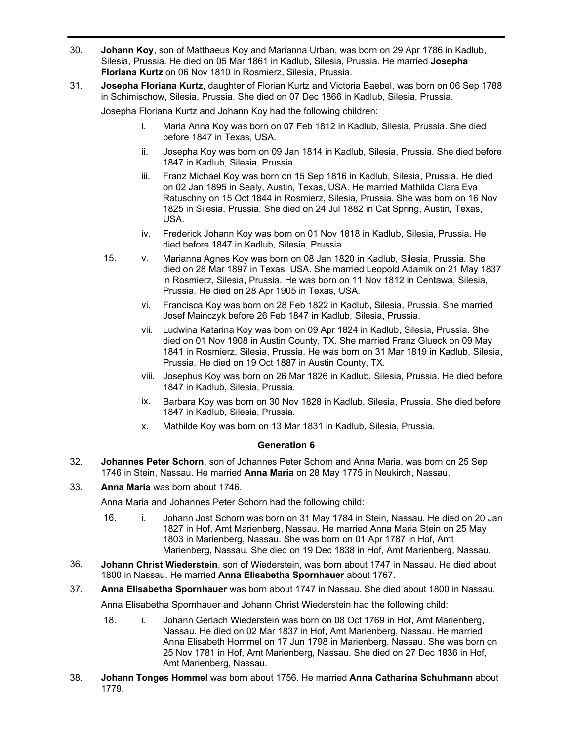- **Johann Koy**, son of Matthaeus Koy and Marianna Urban, was born on 29 Apr 1786 in Kadlub, Silesia, Prussia. He died on 05 Mar 1861 in Kadlub, Silesia, Prussia. He married **Josepha Floriana Kurtz** on 06 Nov 1810 in Rosmierz, Silesia, Prussia. 30.
- **Josepha Floriana Kurtz**, daughter of Florian Kurtz and Victoria Baebel, was born on 06 Sep 1788 in Schimischow, Silesia, Prussia. She died on 07 Dec 1866 in Kadlub, Silesia, Prussia. 31.

Josepha Floriana Kurtz and Johann Koy had the following children:

- i. Maria Anna Koy was born on 07 Feb 1812 in Kadlub, Silesia, Prussia. She died before 1847 in Texas, USA.
- ii. Josepha Koy was born on 09 Jan 1814 in Kadlub, Silesia, Prussia. She died before 1847 in Kadlub, Silesia, Prussia.
- iii. Franz Michael Koy was born on 15 Sep 1816 in Kadlub, Silesia, Prussia. He died on 02 Jan 1895 in Sealy, Austin, Texas, USA. He married Mathilda Clara Eva Ratuschny on 15 Oct 1844 in Rosmierz, Silesia, Prussia. She was born on 16 Nov 1825 in Silesia, Prussia. She died on 24 Jul 1882 in Cat Spring, Austin, Texas, USA.
- iv. Frederick Johann Koy was born on 01 Nov 1818 in Kadlub, Silesia, Prussia. He died before 1847 in Kadlub, Silesia, Prussia.
- 15. v. Marianna Agnes Koy was born on 08 Jan 1820 in Kadlub, Silesia, Prussia. She died on 28 Mar 1897 in Texas, USA. She married Leopold Adamik on 21 May 1837 in Rosmierz, Silesia, Prussia. He was born on 11 Nov 1812 in Centawa, Silesia, Prussia. He died on 28 Apr 1905 in Texas, USA.
	- vi. Francisca Koy was born on 28 Feb 1822 in Kadlub, Silesia, Prussia. She married Josef Mainczyk before 26 Feb 1847 in Kadlub, Silesia, Prussia.
	- vii. Ludwina Katarina Koy was born on 09 Apr 1824 in Kadlub, Silesia, Prussia. She died on 01 Nov 1908 in Austin County, TX. She married Franz Glueck on 09 May 1841 in Rosmierz, Silesia, Prussia. He was born on 31 Mar 1819 in Kadlub, Silesia, Prussia. He died on 19 Oct 1887 in Austin County, TX.
	- viii. Josephus Koy was born on 26 Mar 1826 in Kadlub, Silesia, Prussia. He died before 1847 in Kadlub, Silesia, Prussia.
	- ix. Barbara Koy was born on 30 Nov 1828 in Kadlub, Silesia, Prussia. She died before 1847 in Kadlub, Silesia, Prussia.
	- x. Mathilde Koy was born on 13 Mar 1831 in Kadlub, Silesia, Prussia.

## **Generation 6**

- **Johannes Peter Schorn**, son of Johannes Peter Schorn and Anna Maria, was born on 25 Sep 1746 in Stein, Nassau. He married **Anna Maria** on 28 May 1775 in Neukirch, Nassau. 32.
- 33. **Anna Maria** was born about 1746.

Anna Maria and Johannes Peter Schorn had the following child:

- 16. i. Johann Jost Schorn was born on 31 May 1784 in Stein, Nassau. He died on 20 Jan 1827 in Hof, Amt Marienberg, Nassau. He married Anna Maria Stein on 25 May 1803 in Marienberg, Nassau. She was born on 01 Apr 1787 in Hof, Amt Marienberg, Nassau. She died on 19 Dec 1838 in Hof, Amt Marienberg, Nassau.
- **Johann Christ Wiederstein**, son of Wiederstein, was born about 1747 in Nassau. He died about 1800 in Nassau. He married **Anna Elisabetha Spornhauer** about 1767. 36.
- 37. **Anna Elisabetha Spornhauer** was born about 1747 in Nassau. She died about 1800 in Nassau.

Anna Elisabetha Spornhauer and Johann Christ Wiederstein had the following child:

- 18. i. Johann Gerlach Wiederstein was born on 08 Oct 1769 in Hof, Amt Marienberg, Nassau. He died on 02 Mar 1837 in Hof, Amt Marienberg, Nassau. He married Anna Elisabeth Hommel on 17 Jun 1798 in Marienberg, Nassau. She was born on 25 Nov 1781 in Hof, Amt Marienberg, Nassau. She died on 27 Dec 1836 in Hof, Amt Marienberg, Nassau.
- **Johann Tonges Hommel** was born about 1756. He married **Anna Catharina Schuhmann** about 1779. 38.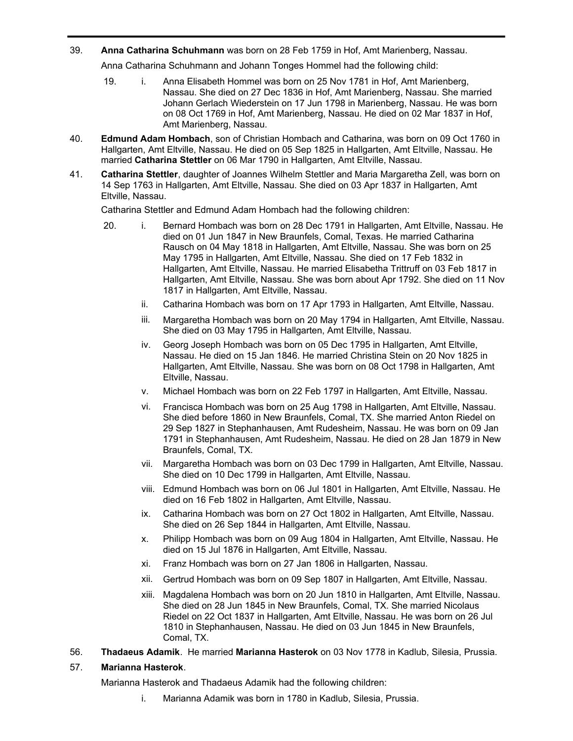39. **Anna Catharina Schuhmann** was born on 28 Feb 1759 in Hof, Amt Marienberg, Nassau.

Anna Catharina Schuhmann and Johann Tonges Hommel had the following child:

- 19. i. Anna Elisabeth Hommel was born on 25 Nov 1781 in Hof, Amt Marienberg, Nassau. She died on 27 Dec 1836 in Hof, Amt Marienberg, Nassau. She married Johann Gerlach Wiederstein on 17 Jun 1798 in Marienberg, Nassau. He was born on 08 Oct 1769 in Hof, Amt Marienberg, Nassau. He died on 02 Mar 1837 in Hof, Amt Marienberg, Nassau.
- **Edmund Adam Hombach**, son of Christian Hombach and Catharina, was born on 09 Oct 1760 in Hallgarten, Amt Eltville, Nassau. He died on 05 Sep 1825 in Hallgarten, Amt Eltville, Nassau. He married **Catharina Stettler** on 06 Mar 1790 in Hallgarten, Amt Eltville, Nassau. 40.
- **Catharina Stettler**, daughter of Joannes Wilhelm Stettler and Maria Margaretha Zell, was born on 14 Sep 1763 in Hallgarten, Amt Eltville, Nassau. She died on 03 Apr 1837 in Hallgarten, Amt Eltville, Nassau. 41.

Catharina Stettler and Edmund Adam Hombach had the following children:

- 20. i. Bernard Hombach was born on 28 Dec 1791 in Hallgarten, Amt Eltville, Nassau. He died on 01 Jun 1847 in New Braunfels, Comal, Texas. He married Catharina Rausch on 04 May 1818 in Hallgarten, Amt Eltville, Nassau. She was born on 25 May 1795 in Hallgarten, Amt Eltville, Nassau. She died on 17 Feb 1832 in Hallgarten, Amt Eltville, Nassau. He married Elisabetha Trittruff on 03 Feb 1817 in Hallgarten, Amt Eltville, Nassau. She was born about Apr 1792. She died on 11 Nov 1817 in Hallgarten, Amt Eltville, Nassau.
	- ii. Catharina Hombach was born on 17 Apr 1793 in Hallgarten, Amt Eltville, Nassau.
	- iii. Margaretha Hombach was born on 20 May 1794 in Hallgarten, Amt Eltville, Nassau. She died on 03 May 1795 in Hallgarten, Amt Eltville, Nassau.
	- iv. Georg Joseph Hombach was born on 05 Dec 1795 in Hallgarten, Amt Eltville, Nassau. He died on 15 Jan 1846. He married Christina Stein on 20 Nov 1825 in Hallgarten, Amt Eltville, Nassau. She was born on 08 Oct 1798 in Hallgarten, Amt Eltville, Nassau.
	- v. Michael Hombach was born on 22 Feb 1797 in Hallgarten, Amt Eltville, Nassau.
	- vi. Francisca Hombach was born on 25 Aug 1798 in Hallgarten, Amt Eltville, Nassau. She died before 1860 in New Braunfels, Comal, TX. She married Anton Riedel on 29 Sep 1827 in Stephanhausen, Amt Rudesheim, Nassau. He was born on 09 Jan 1791 in Stephanhausen, Amt Rudesheim, Nassau. He died on 28 Jan 1879 in New Braunfels, Comal, TX.
	- vii. Margaretha Hombach was born on 03 Dec 1799 in Hallgarten, Amt Eltville, Nassau. She died on 10 Dec 1799 in Hallgarten, Amt Eltville, Nassau.
	- viii. Edmund Hombach was born on 06 Jul 1801 in Hallgarten, Amt Eltville, Nassau. He died on 16 Feb 1802 in Hallgarten, Amt Eltville, Nassau.
	- ix. Catharina Hombach was born on 27 Oct 1802 in Hallgarten, Amt Eltville, Nassau. She died on 26 Sep 1844 in Hallgarten, Amt Eltville, Nassau.
	- x. Philipp Hombach was born on 09 Aug 1804 in Hallgarten, Amt Eltville, Nassau. He died on 15 Jul 1876 in Hallgarten, Amt Eltville, Nassau.
	- xi. Franz Hombach was born on 27 Jan 1806 in Hallgarten, Nassau.
	- xii. Gertrud Hombach was born on 09 Sep 1807 in Hallgarten, Amt Eltville, Nassau.
	- xiii. Magdalena Hombach was born on 20 Jun 1810 in Hallgarten, Amt Eltville, Nassau. She died on 28 Jun 1845 in New Braunfels, Comal, TX. She married Nicolaus Riedel on 22 Oct 1837 in Hallgarten, Amt Eltville, Nassau. He was born on 26 Jul 1810 in Stephanhausen, Nassau. He died on 03 Jun 1845 in New Braunfels, Comal, TX.
- 56. **Thadaeus Adamik**. He married **Marianna Hasterok** on 03 Nov 1778 in Kadlub, Silesia, Prussia.

## 57. **Marianna Hasterok**.

Marianna Hasterok and Thadaeus Adamik had the following children:

i. Marianna Adamik was born in 1780 in Kadlub, Silesia, Prussia.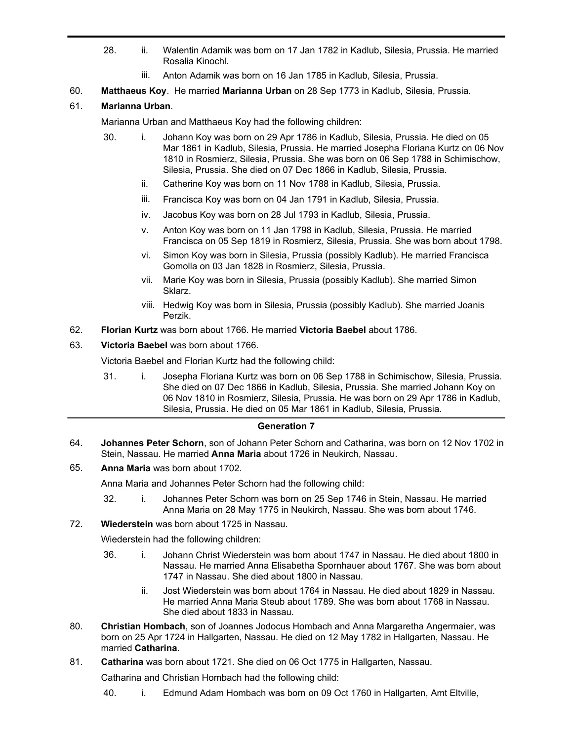- 28. ii. Walentin Adamik was born on 17 Jan 1782 in Kadlub, Silesia, Prussia. He married Rosalia Kinochl.
	- iii. Anton Adamik was born on 16 Jan 1785 in Kadlub, Silesia, Prussia.
- 60. **Matthaeus Koy**. He married **Marianna Urban** on 28 Sep 1773 in Kadlub, Silesia, Prussia.

# 61. **Marianna Urban**.

Marianna Urban and Matthaeus Koy had the following children:

- 30. i. Johann Koy was born on 29 Apr 1786 in Kadlub, Silesia, Prussia. He died on 05 Mar 1861 in Kadlub, Silesia, Prussia. He married Josepha Floriana Kurtz on 06 Nov 1810 in Rosmierz, Silesia, Prussia. She was born on 06 Sep 1788 in Schimischow, Silesia, Prussia. She died on 07 Dec 1866 in Kadlub, Silesia, Prussia.
	- ii. Catherine Koy was born on 11 Nov 1788 in Kadlub, Silesia, Prussia.
	- iii. Francisca Koy was born on 04 Jan 1791 in Kadlub, Silesia, Prussia.
	- iv. Jacobus Koy was born on 28 Jul 1793 in Kadlub, Silesia, Prussia.
	- v. Anton Koy was born on 11 Jan 1798 in Kadlub, Silesia, Prussia. He married Francisca on 05 Sep 1819 in Rosmierz, Silesia, Prussia. She was born about 1798.
	- vi. Simon Koy was born in Silesia, Prussia (possibly Kadlub). He married Francisca Gomolla on 03 Jan 1828 in Rosmierz, Silesia, Prussia.
	- vii. Marie Koy was born in Silesia, Prussia (possibly Kadlub). She married Simon Sklarz.
	- viii. Hedwig Koy was born in Silesia, Prussia (possibly Kadlub). She married Joanis Perzik.
- 62. **Florian Kurtz** was born about 1766. He married **Victoria Baebel** about 1786.
- 63. **Victoria Baebel** was born about 1766.

Victoria Baebel and Florian Kurtz had the following child:

31. i. Josepha Floriana Kurtz was born on 06 Sep 1788 in Schimischow, Silesia, Prussia. She died on 07 Dec 1866 in Kadlub, Silesia, Prussia. She married Johann Koy on 06 Nov 1810 in Rosmierz, Silesia, Prussia. He was born on 29 Apr 1786 in Kadlub, Silesia, Prussia. He died on 05 Mar 1861 in Kadlub, Silesia, Prussia.

#### **Generation 7**

**Johannes Peter Schorn**, son of Johann Peter Schorn and Catharina, was born on 12 Nov 1702 in Stein, Nassau. He married **Anna Maria** about 1726 in Neukirch, Nassau. 64.

# 65. **Anna Maria** was born about 1702.

Anna Maria and Johannes Peter Schorn had the following child:

- 32. i. Johannes Peter Schorn was born on 25 Sep 1746 in Stein, Nassau. He married Anna Maria on 28 May 1775 in Neukirch, Nassau. She was born about 1746.
- 72. **Wiederstein** was born about 1725 in Nassau.

Wiederstein had the following children:

- 36. i. Johann Christ Wiederstein was born about 1747 in Nassau. He died about 1800 in Nassau. He married Anna Elisabetha Spornhauer about 1767. She was born about 1747 in Nassau. She died about 1800 in Nassau.
	- ii. Jost Wiederstein was born about 1764 in Nassau. He died about 1829 in Nassau. He married Anna Maria Steub about 1789. She was born about 1768 in Nassau. She died about 1833 in Nassau.
- **Christian Hombach**, son of Joannes Jodocus Hombach and Anna Margaretha Angermaier, was born on 25 Apr 1724 in Hallgarten, Nassau. He died on 12 May 1782 in Hallgarten, Nassau. He married **Catharina**. 80.
- 81. **Catharina** was born about 1721. She died on 06 Oct 1775 in Hallgarten, Nassau.

Catharina and Christian Hombach had the following child:

40. i. Edmund Adam Hombach was born on 09 Oct 1760 in Hallgarten, Amt Eltville,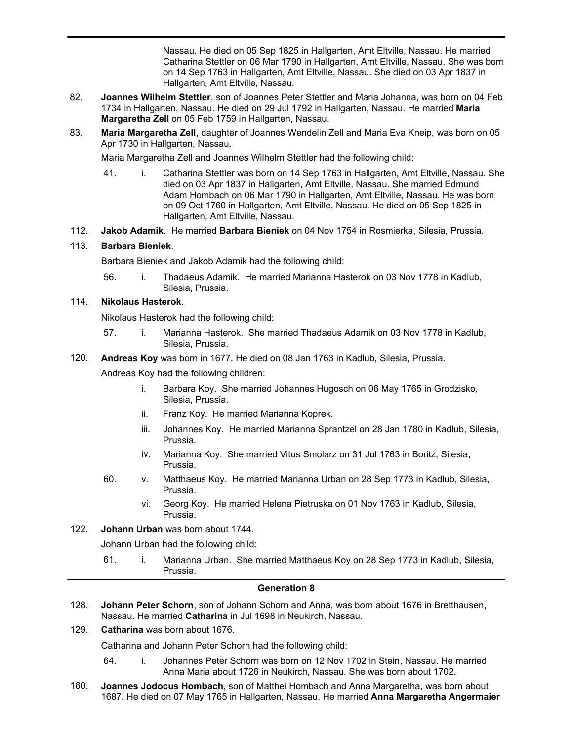40. i. Edmund Adam Hombach was born on 09 Oct 1760 in Hallgarten, Amt Eltville, Nassau. He died on 05 Sep 1825 in Hallgarten, Amt Eltville, Nassau. He married Catharina Stettler on 06 Mar 1790 in Hallgarten, Amt Eltville, Nassau. She was born on 14 Sep 1763 in Hallgarten, Amt Eltville, Nassau. She died on 03 Apr 1837 in Hallgarten, Amt Eltville, Nassau.

- **Joannes Wilhelm Stettler**, son of Joannes Peter Stettler and Maria Johanna, was born on 04 Feb 1734 in Hallgarten, Nassau. He died on 29 Jul 1792 in Hallgarten, Nassau. He married **Maria Margaretha Zell** on 05 Feb 1759 in Hallgarten, Nassau. 82.
- **Maria Margaretha Zell**, daughter of Joannes Wendelin Zell and Maria Eva Kneip, was born on 05 Apr 1730 in Hallgarten, Nassau. 83.

Maria Margaretha Zell and Joannes Wilhelm Stettler had the following child:

- 41. i. Catharina Stettler was born on 14 Sep 1763 in Hallgarten, Amt Eltville, Nassau. She died on 03 Apr 1837 in Hallgarten, Amt Eltville, Nassau. She married Edmund Adam Hombach on 06 Mar 1790 in Hallgarten, Amt Eltville, Nassau. He was born on 09 Oct 1760 in Hallgarten, Amt Eltville, Nassau. He died on 05 Sep 1825 in Hallgarten, Amt Eltville, Nassau.
- 112. **Jakob Adamik**. He married **Barbara Bieniek** on 04 Nov 1754 in Rosmierka, Silesia, Prussia.

## 113. **Barbara Bieniek**.

Barbara Bieniek and Jakob Adamik had the following child:

56. i. Thadaeus Adamik. He married Marianna Hasterok on 03 Nov 1778 in Kadlub, Silesia, Prussia.

## 114. **Nikolaus Hasterok**.

Nikolaus Hasterok had the following child:

- 57. i. Marianna Hasterok. She married Thadaeus Adamik on 03 Nov 1778 in Kadlub, Silesia, Prussia.
- 120. **Andreas Koy** was born in 1677. He died on 08 Jan 1763 in Kadlub, Silesia, Prussia.

Andreas Koy had the following children:

- i. Barbara Koy. She married Johannes Hugosch on 06 May 1765 in Grodzisko, Silesia, Prussia.
- ii. Franz Koy. He married Marianna Koprek.
- iii. Johannes Koy. He married Marianna Sprantzel on 28 Jan 1780 in Kadlub, Silesia, Prussia.
- iv. Marianna Koy. She married Vitus Smolarz on 31 Jul 1763 in Boritz, Silesia, Prussia.
- 60. v. Matthaeus Koy. He married Marianna Urban on 28 Sep 1773 in Kadlub, Silesia, Prussia.
	- vi. Georg Koy. He married Helena Pietruska on 01 Nov 1763 in Kadlub, Silesia, Prussia.
- 122. **Johann Urban** was born about 1744.

Johann Urban had the following child:

61. i. Marianna Urban. She married Matthaeus Koy on 28 Sep 1773 in Kadlub, Silesia, Prussia.

## **Generation 8**

- **Johann Peter Schorn**, son of Johann Schorn and Anna, was born about 1676 in Bretthausen, Nassau. He married **Catharina** in Jul 1698 in Neukirch, Nassau. 128.
- 129. **Catharina** was born about 1676.

Catharina and Johann Peter Schorn had the following child:

- 64. i. Johannes Peter Schorn was born on 12 Nov 1702 in Stein, Nassau. He married Anna Maria about 1726 in Neukirch, Nassau. She was born about 1702.
- **Joannes Jodocus Hombach**, son of Matthei Hombach and Anna Margaretha, was born about 1687. He died on 07 May 1765 in Hallgarten, Nassau. He married **Anna Margaretha Angermaier** 160.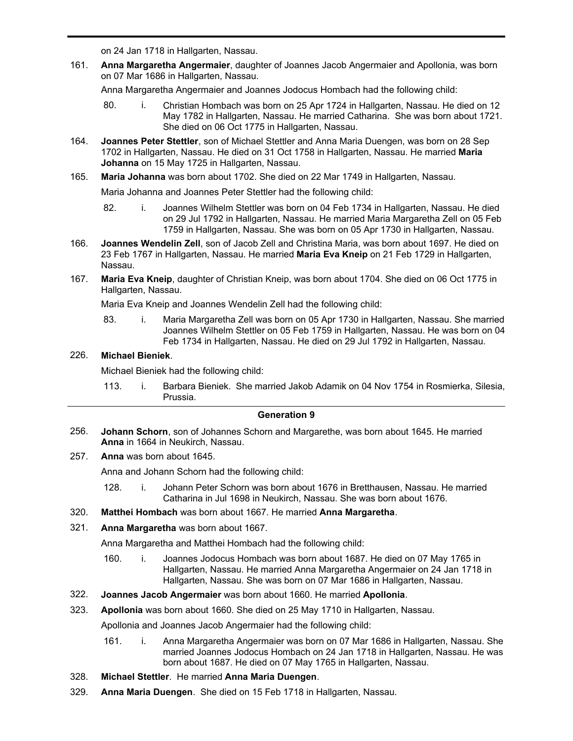1687. He died on 07 May 1765 in Hallgarten, Nassau. He married **Anna Margaretha Angermaier** on 24 Jan 1718 in Hallgarten, Nassau.

**Anna Margaretha Angermaier**, daughter of Joannes Jacob Angermaier and Apollonia, was born on 07 Mar 1686 in Hallgarten, Nassau. 161.

Anna Margaretha Angermaier and Joannes Jodocus Hombach had the following child:

- 80. i. Christian Hombach was born on 25 Apr 1724 in Hallgarten, Nassau. He died on 12 May 1782 in Hallgarten, Nassau. He married Catharina. She was born about 1721. She died on 06 Oct 1775 in Hallgarten, Nassau.
- **Joannes Peter Stettler**, son of Michael Stettler and Anna Maria Duengen, was born on 28 Sep 1702 in Hallgarten, Nassau. He died on 31 Oct 1758 in Hallgarten, Nassau. He married **Maria Johanna** on 15 May 1725 in Hallgarten, Nassau. 164.
- 165. **Maria Johanna** was born about 1702. She died on 22 Mar 1749 in Hallgarten, Nassau.

Maria Johanna and Joannes Peter Stettler had the following child:

- 82. i. Joannes Wilhelm Stettler was born on 04 Feb 1734 in Hallgarten, Nassau. He died on 29 Jul 1792 in Hallgarten, Nassau. He married Maria Margaretha Zell on 05 Feb 1759 in Hallgarten, Nassau. She was born on 05 Apr 1730 in Hallgarten, Nassau.
- **Joannes Wendelin Zell**, son of Jacob Zell and Christina Maria, was born about 1697. He died on 23 Feb 1767 in Hallgarten, Nassau. He married **Maria Eva Kneip** on 21 Feb 1729 in Hallgarten, Nassau. 166.
- **Maria Eva Kneip**, daughter of Christian Kneip, was born about 1704. She died on 06 Oct 1775 in Hallgarten, Nassau. 167.

Maria Eva Kneip and Joannes Wendelin Zell had the following child:

83. i. Maria Margaretha Zell was born on 05 Apr 1730 in Hallgarten, Nassau. She married Joannes Wilhelm Stettler on 05 Feb 1759 in Hallgarten, Nassau. He was born on 04 Feb 1734 in Hallgarten, Nassau. He died on 29 Jul 1792 in Hallgarten, Nassau.

# 226. **Michael Bieniek**.

Michael Bieniek had the following child:

113. i. Barbara Bieniek. She married Jakob Adamik on 04 Nov 1754 in Rosmierka, Silesia, Prussia.

## **Generation 9**

- **Johann Schorn**, son of Johannes Schorn and Margarethe, was born about 1645. He married **Anna** in 1664 in Neukirch, Nassau. 256.
- 257. **Anna** was born about 1645.

Anna and Johann Schorn had the following child:

- 128. i. Johann Peter Schorn was born about 1676 in Bretthausen, Nassau. He married Catharina in Jul 1698 in Neukirch, Nassau. She was born about 1676.
- 320. **Matthei Hombach** was born about 1667. He married **Anna Margaretha**.
- 321. **Anna Margaretha** was born about 1667.

Anna Margaretha and Matthei Hombach had the following child:

- 160. i. Joannes Jodocus Hombach was born about 1687. He died on 07 May 1765 in Hallgarten, Nassau. He married Anna Margaretha Angermaier on 24 Jan 1718 in Hallgarten, Nassau. She was born on 07 Mar 1686 in Hallgarten, Nassau.
- 322. **Joannes Jacob Angermaier** was born about 1660. He married **Apollonia**.
- 323. **Apollonia** was born about 1660. She died on 25 May 1710 in Hallgarten, Nassau.

Apollonia and Joannes Jacob Angermaier had the following child:

- 161. i. Anna Margaretha Angermaier was born on 07 Mar 1686 in Hallgarten, Nassau. She married Joannes Jodocus Hombach on 24 Jan 1718 in Hallgarten, Nassau. He was born about 1687. He died on 07 May 1765 in Hallgarten, Nassau.
- 328. **Michael Stettler**. He married **Anna Maria Duengen**.
- 329. **Anna Maria Duengen**. She died on 15 Feb 1718 in Hallgarten, Nassau.